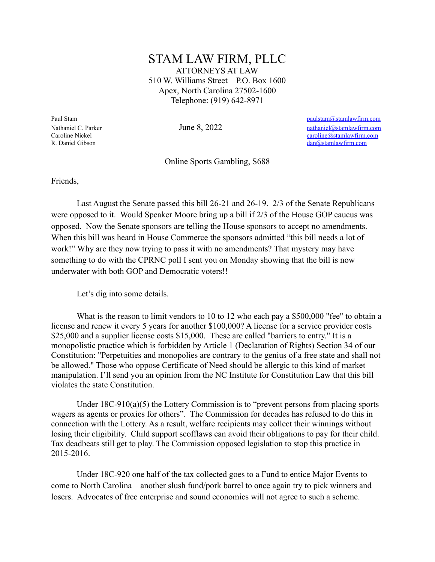## STAM LAW FIRM, PLLC ATTORNEYS AT LAW 510 W. Williams Street – P.O. Box 1600 Apex, North Carolina 27502-1600 Telephone: (919) 642-8971

Paul Stam [paulstam@stamlawfirm.com](mailto:paulstam@stamlawfirm.com) Nathaniel C. Parker **June 8, 2022** nathaniel @stamlawfirm.com Caroline Nickel [caroline@stamlawfirm.com](mailto:caroline@stamlawfirm.com) R. Daniel Gibson [dan@stamlawfirm.com](mailto:dan@stamlawfirm.com)

Online Sports Gambling, S688

Friends,

Last August the Senate passed this bill 26-21 and 26-19. 2/3 of the Senate Republicans were opposed to it. Would Speaker Moore bring up a bill if 2/3 of the House GOP caucus was opposed. Now the Senate sponsors are telling the House sponsors to accept no amendments. When this bill was heard in House Commerce the sponsors admitted "this bill needs a lot of work!" Why are they now trying to pass it with no amendments? That mystery may have something to do with the CPRNC poll I sent you on Monday showing that the bill is now underwater with both GOP and Democratic voters!!

Let's dig into some details.

What is the reason to limit vendors to 10 to 12 who each pay a \$500,000 "fee" to obtain a license and renew it every 5 years for another \$100,000? A license for a service provider costs \$25,000 and a supplier license costs \$15,000. These are called "barriers to entry." It is a monopolistic practice which is forbidden by Article 1 (Declaration of Rights) Section 34 of our Constitution: "Perpetuities and monopolies are contrary to the genius of a free state and shall not be allowed." Those who oppose Certificate of Need should be allergic to this kind of market manipulation. I'll send you an opinion from the NC Institute for Constitution Law that this bill violates the state Constitution.

Under 18C-910(a)(5) the Lottery Commission is to "prevent persons from placing sports wagers as agents or proxies for others". The Commission for decades has refused to do this in connection with the Lottery. As a result, welfare recipients may collect their winnings without losing their eligibility. Child support scofflaws can avoid their obligations to pay for their child. Tax deadbeats still get to play. The Commission opposed legislation to stop this practice in 2015-2016.

Under 18C-920 one half of the tax collected goes to a Fund to entice Major Events to come to North Carolina – another slush fund/pork barrel to once again try to pick winners and losers. Advocates of free enterprise and sound economics will not agree to such a scheme.